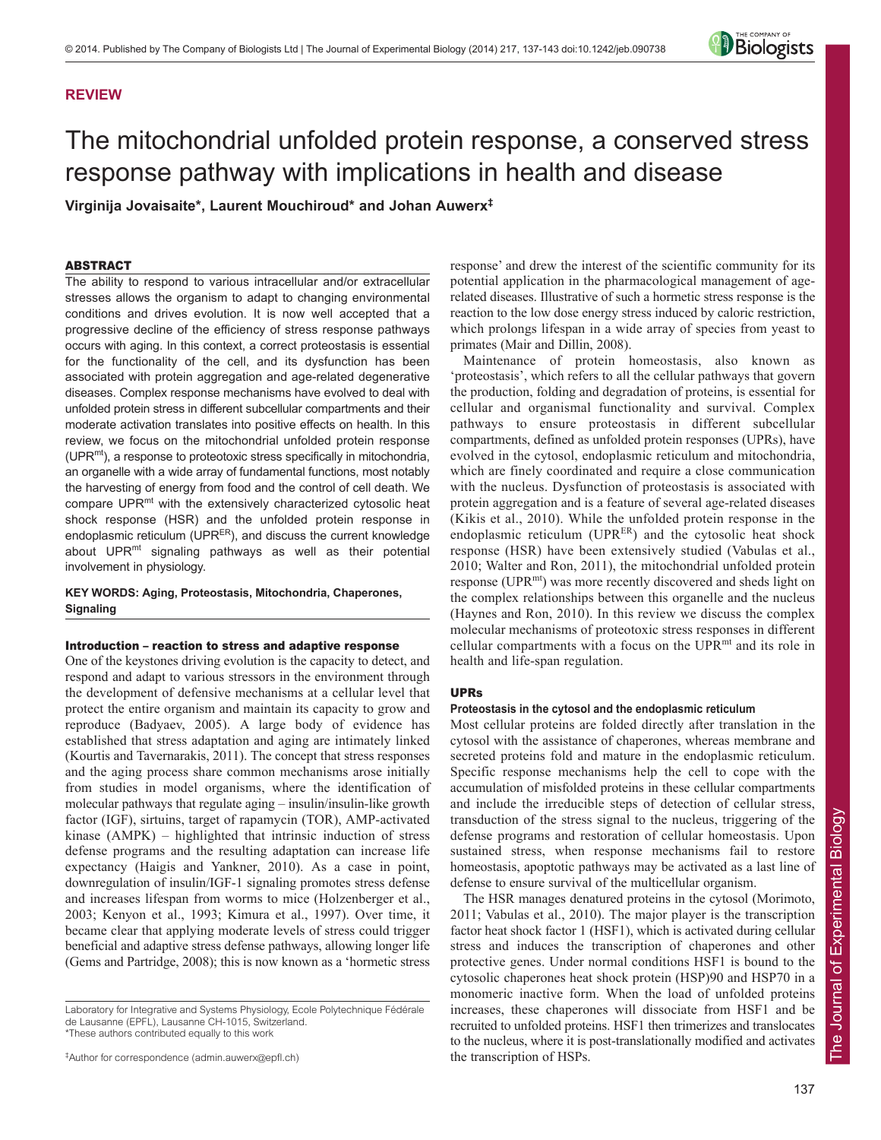# **REVIEW**



# The mitochondrial unfolded protein response, a conserved stress response pathway with implications in health and disease

**Virginija Jovaisaite\*, Laurent Mouchiroud\* and Johan Auwerx‡**

## ABSTRACT

The ability to respond to various intracellular and/or extracellular stresses allows the organism to adapt to changing environmental conditions and drives evolution. It is now well accepted that a progressive decline of the efficiency of stress response pathways occurs with aging. In this context, a correct proteostasis is essential for the functionality of the cell, and its dysfunction has been associated with protein aggregation and age-related degenerative diseases. Complex response mechanisms have evolved to deal with unfolded protein stress in different subcellular compartments and their moderate activation translates into positive effects on health. In this review, we focus on the mitochondrial unfolded protein response  $(UPR<sup>mt</sup>)$ , a response to proteotoxic stress specifically in mitochondria, an organelle with a wide array of fundamental functions, most notably the harvesting of energy from food and the control of cell death. We compare UPR<sup>mt</sup> with the extensively characterized cytosolic heat shock response (HSR) and the unfolded protein response in endoplasmic reticulum ( $UPR^{ER}$ ), and discuss the current knowledge about UPR<sup>mt</sup> signaling pathways as well as their potential involvement in physiology.

**KEY WORDS: Aging, Proteostasis, Mitochondria, Chaperones, Signaling**

## Introduction – reaction to stress and adaptive response

One of the keystones driving evolution is the capacity to detect, and respond and adapt to various stressors in the environment through the development of defensive mechanisms at a cellular level that protect the entire organism and maintain its capacity to grow and reproduce (Badyaev, 2005). A large body of evidence has established that stress adaptation and aging are intimately linked (Kourtis and Tavernarakis, 2011). The concept that stress responses and the aging process share common mechanisms arose initially from studies in model organisms, where the identification of molecular pathways that regulate aging – insulin/insulin-like growth factor (IGF), sirtuins, target of rapamycin (TOR), AMP-activated kinase (AMPK) – highlighted that intrinsic induction of stress defense programs and the resulting adaptation can increase life expectancy (Haigis and Yankner, 2010). As a case in point, downregulation of insulin/IGF-1 signaling promotes stress defense and increases lifespan from worms to mice (Holzenberger et al., 2003; Kenyon et al., 1993; Kimura et al., 1997). Over time, it became clear that applying moderate levels of stress could trigger beneficial and adaptive stress defense pathways, allowing longer life (Gems and Partridge, 2008); this is now known as a 'hormetic stress

response' and drew the interest of the scientific community for its potential application in the pharmacological management of agerelated diseases. Illustrative of such a hormetic stress response is the reaction to the low dose energy stress induced by caloric restriction, which prolongs lifespan in a wide array of species from yeast to primates (Mair and Dillin, 2008).

Maintenance of protein homeostasis, also known as 'proteostasis', which refers to all the cellular pathways that govern the production, folding and degradation of proteins, is essential for cellular and organismal functionality and survival. Complex pathways to ensure proteostasis in different subcellular compartments, defined as unfolded protein responses (UPRs), have evolved in the cytosol, endoplasmic reticulum and mitochondria, which are finely coordinated and require a close communication with the nucleus. Dysfunction of proteostasis is associated with protein aggregation and is a feature of several age-related diseases (Kikis et al., 2010). While the unfolded protein response in the endoplasmic reticulum ( $UPR<sup>ER</sup>$ ) and the cytosolic heat shock response (HSR) have been extensively studied (Vabulas et al., 2010; Walter and Ron, 2011), the mitochondrial unfolded protein response (UPR<sup>mt</sup>) was more recently discovered and sheds light on the complex relationships between this organelle and the nucleus (Haynes and Ron, 2010). In this review we discuss the complex molecular mechanisms of proteotoxic stress responses in different cellular compartments with a focus on the UPRmt and its role in health and life-span regulation.

## UPRs

## **Proteostasis in the cytosol and the endoplasmic reticulum**

Most cellular proteins are folded directly after translation in the cytosol with the assistance of chaperones, whereas membrane and secreted proteins fold and mature in the endoplasmic reticulum. Specific response mechanisms help the cell to cope with the accumulation of misfolded proteins in these cellular compartments and include the irreducible steps of detection of cellular stress, transduction of the stress signal to the nucleus, triggering of the defense programs and restoration of cellular homeostasis. Upon sustained stress, when response mechanisms fail to restore homeostasis, apoptotic pathways may be activated as a last line of defense to ensure survival of the multicellular organism.

The HSR manages denatured proteins in the cytosol (Morimoto, 2011; Vabulas et al., 2010). The major player is the transcription factor heat shock factor 1 (HSF1), which is activated during cellular stress and induces the transcription of chaperones and other protective genes. Under normal conditions HSF1 is bound to the cytosolic chaperones heat shock protein (HSP)90 and HSP70 in a monomeric inactive form. When the load of unfolded proteins increases, these chaperones will dissociate from HSF1 and be recruited to unfolded proteins. HSF1 then trimerizes and translocates to the nucleus, where it is post-translationally modified and activates the transcription of HSPs.

Laboratory for Integrative and Systems Physiology, Ecole Polytechnique Fédérale de Lausanne (EPFL), Lausanne CH-1015, Switzerland. \*These authors contributed equally to this work

<sup>‡</sup> Author for correspondence (admin.auwerx@epfl.ch)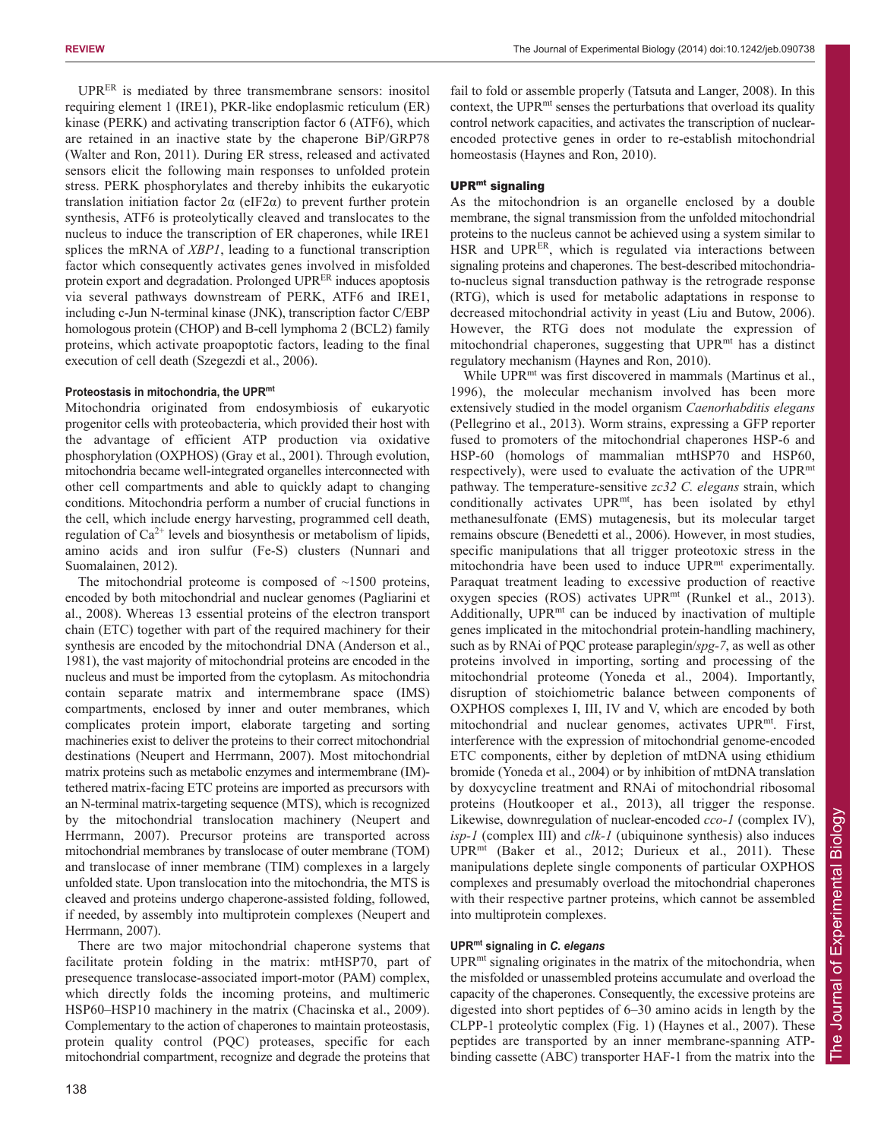UPRER is mediated by three transmembrane sensors: inositol requiring element 1 (IRE1), PKR-like endoplasmic reticulum (ER) kinase (PERK) and activating transcription factor 6 (ATF6), which are retained in an inactive state by the chaperone BiP/GRP78 (Walter and Ron, 2011). During ER stress, released and activated sensors elicit the following main responses to unfolded protein stress. PERK phosphorylates and thereby inhibits the eukaryotic translation initiation factor 2α (eIF2α) to prevent further protein synthesis, ATF6 is proteolytically cleaved and translocates to the nucleus to induce the transcription of ER chaperones, while IRE1 splices the mRNA of *XBP1*, leading to a functional transcription factor which consequently activates genes involved in misfolded protein export and degradation. Prolonged UPR<sup>ER</sup> induces apoptosis via several pathways downstream of PERK, ATF6 and IRE1, including c-Jun N-terminal kinase (JNK), transcription factor C/EBP homologous protein (CHOP) and B-cell lymphoma 2 (BCL2) family proteins, which activate proapoptotic factors, leading to the final execution of cell death (Szegezdi et al., 2006).

# **Proteostasis in mitochondria, the UPRmt**

Mitochondria originated from endosymbiosis of eukaryotic progenitor cells with proteobacteria, which provided their host with the advantage of efficient ATP production via oxidative phosphorylation (OXPHOS) (Gray et al., 2001). Through evolution, mitochondria became well-integrated organelles interconnected with other cell compartments and able to quickly adapt to changing conditions. Mitochondria perform a number of crucial functions in the cell, which include energy harvesting, programmed cell death, regulation of  $Ca^{2+}$  levels and biosynthesis or metabolism of lipids, amino acids and iron sulfur (Fe-S) clusters (Nunnari and Suomalainen, 2012).

The mitochondrial proteome is composed of  $\sim$ 1500 proteins, encoded by both mitochondrial and nuclear genomes (Pagliarini et al., 2008). Whereas 13 essential proteins of the electron transport chain (ETC) together with part of the required machinery for their synthesis are encoded by the mitochondrial DNA (Anderson et al., 1981), the vast majority of mitochondrial proteins are encoded in the nucleus and must be imported from the cytoplasm. As mitochondria contain separate matrix and intermembrane space (IMS) compartments, enclosed by inner and outer membranes, which complicates protein import, elaborate targeting and sorting machineries exist to deliver the proteins to their correct mitochondrial destinations (Neupert and Herrmann, 2007). Most mitochondrial matrix proteins such as metabolic enzymes and intermembrane (IM) tethered matrix-facing ETC proteins are imported as precursors with an N-terminal matrix-targeting sequence (MTS), which is recognized by the mitochondrial translocation machinery (Neupert and Herrmann, 2007). Precursor proteins are transported across mitochondrial membranes by translocase of outer membrane (TOM) and translocase of inner membrane (TIM) complexes in a largely unfolded state. Upon translocation into the mitochondria, the MTS is cleaved and proteins undergo chaperone-assisted folding, followed, if needed, by assembly into multiprotein complexes (Neupert and Herrmann, 2007).

There are two major mitochondrial chaperone systems that facilitate protein folding in the matrix: mtHSP70, part of presequence translocase-associated import-motor (PAM) complex, which directly folds the incoming proteins, and multimeric HSP60–HSP10 machinery in the matrix (Chacinska et al., 2009). Complementary to the action of chaperones to maintain proteostasis, protein quality control (PQC) proteases, specific for each mitochondrial compartment, recognize and degrade the proteins that fail to fold or assemble properly (Tatsuta and Langer, 2008). In this context, the UPR $<sup>mt</sup>$  senses the perturbations that overload its quality</sup> control network capacities, and activates the transcription of nuclearencoded protective genes in order to re-establish mitochondrial homeostasis (Haynes and Ron, 2010).

# UPRmt signaling

As the mitochondrion is an organelle enclosed by a double membrane, the signal transmission from the unfolded mitochondrial proteins to the nucleus cannot be achieved using a system similar to HSR and UPR<sup>ER</sup>, which is regulated via interactions between signaling proteins and chaperones. The best-described mitochondriato-nucleus signal transduction pathway is the retrograde response (RTG), which is used for metabolic adaptations in response to decreased mitochondrial activity in yeast (Liu and Butow, 2006). However, the RTG does not modulate the expression of mitochondrial chaperones, suggesting that  $UPR<sup>mt</sup>$  has a distinct regulatory mechanism (Haynes and Ron, 2010).

While UPR<sup>mt</sup> was first discovered in mammals (Martinus et al., 1996), the molecular mechanism involved has been more extensively studied in the model organism *Caenorhabditis elegans* (Pellegrino et al., 2013). Worm strains, expressing a GFP reporter fused to promoters of the mitochondrial chaperones HSP-6 and HSP-60 (homologs of mammalian mtHSP70 and HSP60, respectively), were used to evaluate the activation of the UPRmt pathway. The temperature-sensitive *zc32 C. elegans* strain, which conditionally activates UPR<sup>mt</sup>, has been isolated by ethyl methanesulfonate (EMS) mutagenesis, but its molecular target remains obscure (Benedetti et al., 2006). However, in most studies, specific manipulations that all trigger proteotoxic stress in the mitochondria have been used to induce UPR<sup>mt</sup> experimentally. Paraquat treatment leading to excessive production of reactive oxygen species (ROS) activates UPR<sup>mt</sup> (Runkel et al., 2013). Additionally, UPR<sup>mt</sup> can be induced by inactivation of multiple genes implicated in the mitochondrial protein-handling machinery, such as by RNAi of PQC protease paraplegin/*spg-7*, as well as other proteins involved in importing, sorting and processing of the mitochondrial proteome (Yoneda et al., 2004). Importantly, disruption of stoichiometric balance between components of OXPHOS complexes I, III, IV and V, which are encoded by both mitochondrial and nuclear genomes, activates UPR<sup>mt</sup>. First, interference with the expression of mitochondrial genome-encoded ETC components, either by depletion of mtDNA using ethidium bromide (Yoneda et al., 2004) or by inhibition of mtDNA translation by doxycycline treatment and RNAi of mitochondrial ribosomal proteins (Houtkooper et al., 2013), all trigger the response. Likewise, downregulation of nuclear-encoded *cco-1* (complex IV), *isp-1* (complex III) and *clk-1* (ubiquinone synthesis) also induces UPRmt (Baker et al., 2012; Durieux et al., 2011). These manipulations deplete single components of particular OXPHOS complexes and presumably overload the mitochondrial chaperones with their respective partner proteins, which cannot be assembled into multiprotein complexes.

# **UPRmt signaling in** *C. elegans*

 $UPR<sup>mt</sup>$  signaling originates in the matrix of the mitochondria, when the misfolded or unassembled proteins accumulate and overload the capacity of the chaperones. Consequently, the excessive proteins are digested into short peptides of 6–30 amino acids in length by the CLPP-1 proteolytic complex (Fig. 1) (Haynes et al., 2007). These peptides are transported by an inner membrane-spanning ATPbinding cassette (ABC) transporter HAF-1 from the matrix into the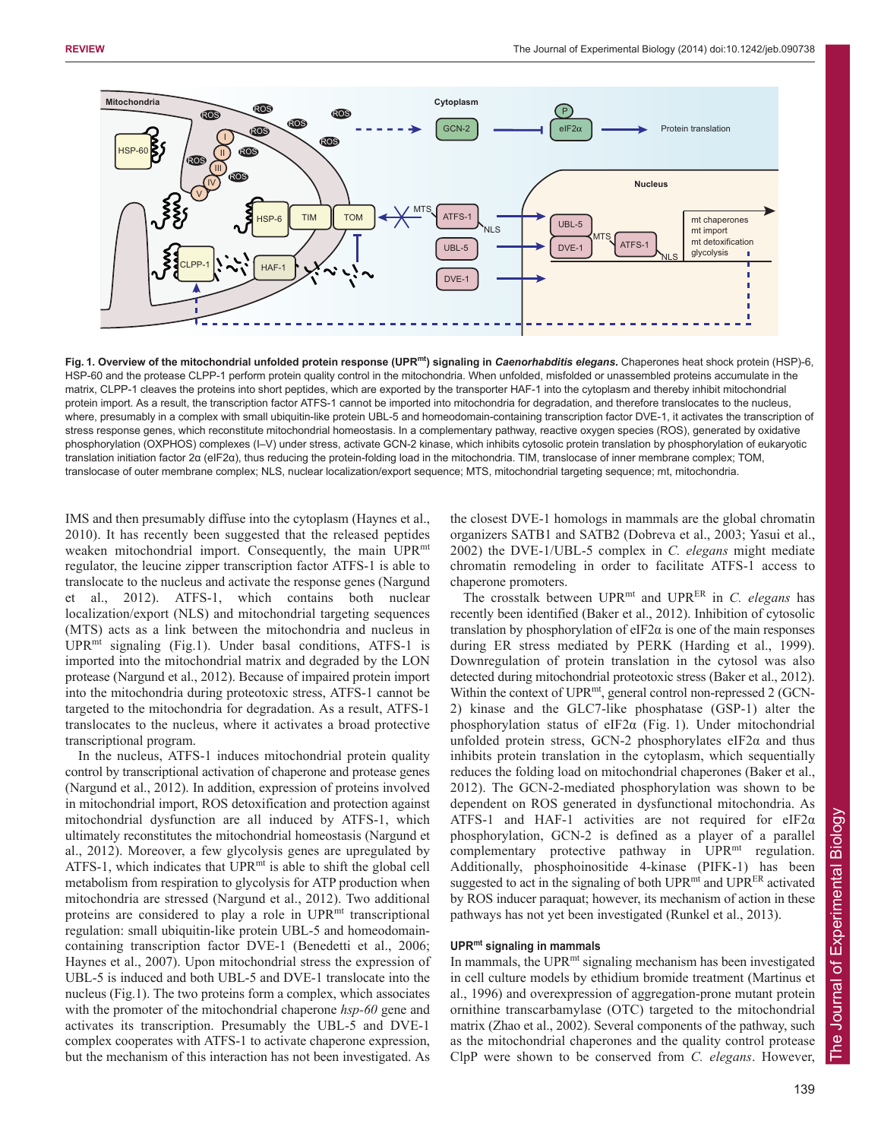

Fig. 1. Overview of the mitochondrial unfolded protein response (UPR<sup>mt</sup>) signaling in *Caenorhabditis elegans*. Chaperones heat shock protein (HSP)-6, HSP-60 and the protease CLPP-1 perform protein quality control in the mitochondria. When unfolded, misfolded or unassembled proteins accumulate in the matrix, CLPP-1 cleaves the proteins into short peptides, which are exported by the transporter HAF-1 into the cytoplasm and thereby inhibit mitochondrial protein import. As a result, the transcription factor ATFS-1 cannot be imported into mitochondria for degradation, and therefore translocates to the nucleus, where, presumably in a complex with small ubiquitin-like protein UBL-5 and homeodomain-containing transcription factor DVE-1, it activates the transcription of stress response genes, which reconstitute mitochondrial homeostasis. In a complementary pathway, reactive oxygen species (ROS), generated by oxidative phosphorylation (OXPHOS) complexes (I–V) under stress, activate GCN-2 kinase, which inhibits cytosolic protein translation by phosphorylation of eukaryotic translation initiation factor 2α (eIF2α), thus reducing the protein-folding load in the mitochondria. TIM, translocase of inner membrane complex; TOM, translocase of outer membrane complex; NLS, nuclear localization/export sequence; MTS, mitochondrial targeting sequence; mt, mitochondria.

IMS and then presumably diffuse into the cytoplasm (Haynes et al., 2010). It has recently been suggested that the released peptides weaken mitochondrial import. Consequently, the main UPR<sup>mt</sup> regulator, the leucine zipper transcription factor ATFS-1 is able to translocate to the nucleus and activate the response genes (Nargund et al., 2012). ATFS-1, which contains both nuclear localization/export (NLS) and mitochondrial targeting sequences (MTS) acts as a link between the mitochondria and nucleus in  $UPR<sup>mt</sup>$  signaling (Fig.1). Under basal conditions, ATFS-1 is imported into the mitochondrial matrix and degraded by the LON protease (Nargund et al., 2012). Because of impaired protein import into the mitochondria during proteotoxic stress, ATFS-1 cannot be targeted to the mitochondria for degradation. As a result, ATFS-1 translocates to the nucleus, where it activates a broad protective transcriptional program.

In the nucleus, ATFS-1 induces mitochondrial protein quality control by transcriptional activation of chaperone and protease genes (Nargund et al., 2012). In addition, expression of proteins involved in mitochondrial import, ROS detoxification and protection against mitochondrial dysfunction are all induced by ATFS-1, which ultimately reconstitutes the mitochondrial homeostasis (Nargund et al., 2012). Moreover, a few glycolysis genes are upregulated by ATFS-1, which indicates that UPR<sup>mt</sup> is able to shift the global cell metabolism from respiration to glycolysis for ATP production when mitochondria are stressed (Nargund et al., 2012). Two additional proteins are considered to play a role in UPR<sup>mt</sup> transcriptional regulation: small ubiquitin-like protein UBL-5 and homeodomaincontaining transcription factor DVE-1 (Benedetti et al., 2006; Haynes et al., 2007). Upon mitochondrial stress the expression of UBL-5 is induced and both UBL-5 and DVE-1 translocate into the nucleus (Fig.1). The two proteins form a complex, which associates with the promoter of the mitochondrial chaperone *hsp-60* gene and activates its transcription. Presumably the UBL-5 and DVE-1 complex cooperates with ATFS-1 to activate chaperone expression, but the mechanism of this interaction has not been investigated. As the closest DVE-1 homologs in mammals are the global chromatin organizers SATB1 and SATB2 (Dobreva et al., 2003; Yasui et al., 2002) the DVE-1/UBL-5 complex in *C. elegans* might mediate chromatin remodeling in order to facilitate ATFS-1 access to chaperone promoters.

The crosstalk between UPR<sup>mt</sup> and UPR<sup>ER</sup> in *C. elegans* has recently been identified (Baker et al., 2012). Inhibition of cytosolic translation by phosphorylation of eIF2α is one of the main responses during ER stress mediated by PERK (Harding et al., 1999). Downregulation of protein translation in the cytosol was also detected during mitochondrial proteotoxic stress (Baker et al., 2012). Within the context of UPR<sup>mt</sup>, general control non-repressed 2 (GCN-2) kinase and the GLC7-like phosphatase (GSP-1) alter the phosphorylation status of eIF2α (Fig. 1). Under mitochondrial unfolded protein stress, GCN-2 phosphorylates eIF2 $\alpha$  and thus inhibits protein translation in the cytoplasm, which sequentially reduces the folding load on mitochondrial chaperones (Baker et al., 2012). The GCN-2-mediated phosphorylation was shown to be dependent on ROS generated in dysfunctional mitochondria. As ATFS-1 and HAF-1 activities are not required for eIF2α phosphorylation, GCN-2 is defined as a player of a parallel complementary protective pathway in UPR<sup>mt</sup> regulation. Additionally, phosphoinositide 4-kinase (PIFK-1) has been suggested to act in the signaling of both  $\text{UPR}^{\text{mt}}$  and  $\text{UPR}^{\text{ER}}$  activated by ROS inducer paraquat; however, its mechanism of action in these pathways has not yet been investigated (Runkel et al., 2013).

## **UPRmt signaling in mammals**

In mammals, the  $UPR<sup>mt</sup>$  signaling mechanism has been investigated in cell culture models by ethidium bromide treatment (Martinus et al., 1996) and overexpression of aggregation-prone mutant protein ornithine transcarbamylase (OTC) targeted to the mitochondrial matrix (Zhao et al., 2002). Several components of the pathway, such as the mitochondrial chaperones and the quality control protease ClpP were shown to be conserved from *C. elegans*. However,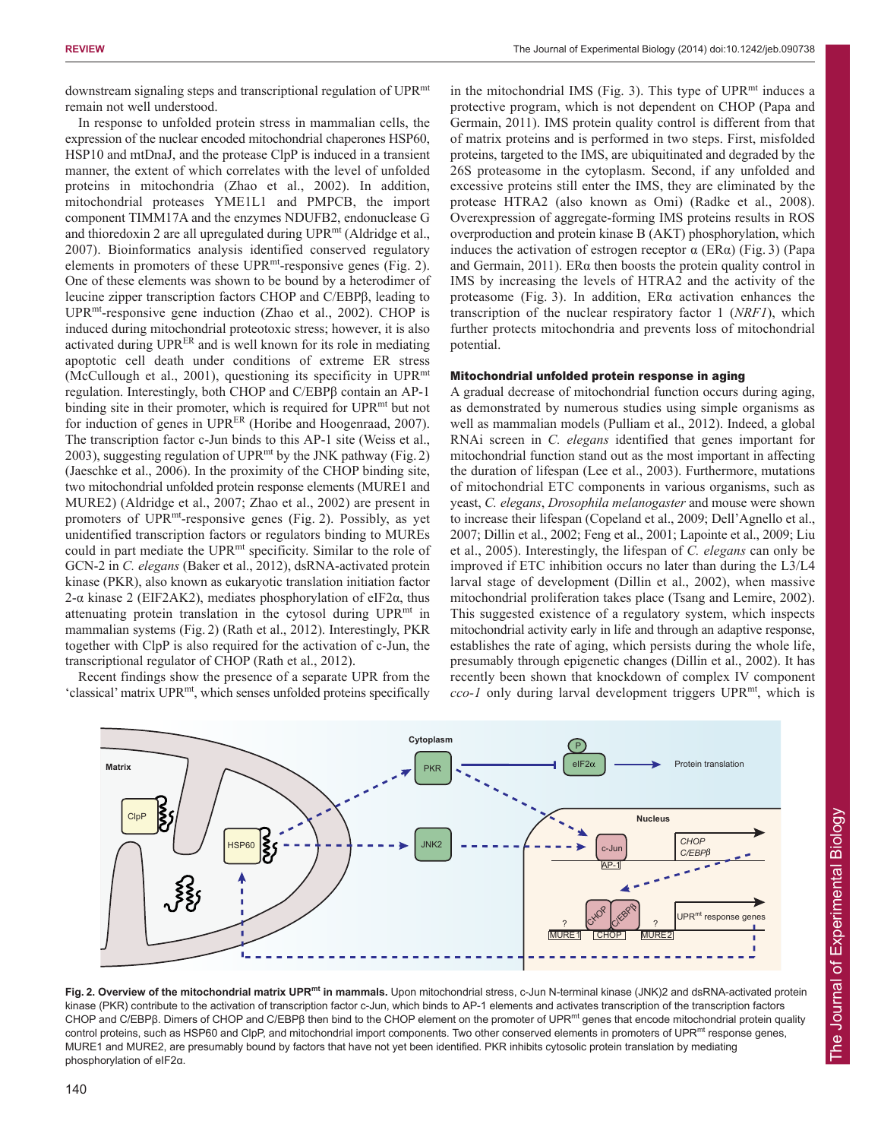downstream signaling steps and transcriptional regulation of UPRmt remain not well understood.

In response to unfolded protein stress in mammalian cells, the expression of the nuclear encoded mitochondrial chaperones HSP60, HSP10 and mtDnaJ, and the protease ClpP is induced in a transient manner, the extent of which correlates with the level of unfolded proteins in mitochondria (Zhao et al., 2002). In addition, mitochondrial proteases YME1L1 and PMPCB, the import component TIMM17A and the enzymes NDUFB2, endonuclease G and thioredoxin 2 are all upregulated during UPRmt (Aldridge et al., 2007). Bioinformatics analysis identified conserved regulatory elements in promoters of these UPR<sup>mt</sup>-responsive genes (Fig. 2). One of these elements was shown to be bound by a heterodimer of leucine zipper transcription factors CHOP and C/EBPβ, leading to UPRmt-responsive gene induction (Zhao et al., 2002). CHOP is induced during mitochondrial proteotoxic stress; however, it is also activated during  $UPR<sup>ER</sup>$  and is well known for its role in mediating apoptotic cell death under conditions of extreme ER stress (McCullough et al., 2001), questioning its specificity in UPRmt regulation. Interestingly, both CHOP and C/EBPβ contain an AP-1 binding site in their promoter, which is required for UPR<sup>mt</sup> but not for induction of genes in UPRER (Horibe and Hoogenraad, 2007). The transcription factor c-Jun binds to this AP-1 site (Weiss et al., 2003), suggesting regulation of UPR $^{mt}$  by the JNK pathway (Fig. 2) (Jaeschke et al., 2006). In the proximity of the CHOP binding site, two mitochondrial unfolded protein response elements (MURE1 and MURE2) (Aldridge et al., 2007; Zhao et al., 2002) are present in promoters of UPRmt-responsive genes (Fig. 2). Possibly, as yet unidentified transcription factors or regulators binding to MUREs could in part mediate the UPR<sup>mt</sup> specificity. Similar to the role of GCN-2 in *C. elegans* (Baker et al., 2012), dsRNA-activated protein kinase (PKR), also known as eukaryotic translation initiation factor 2-α kinase 2 (EIF2AK2), mediates phosphorylation of eIF2 $α$ , thus attenuating protein translation in the cytosol during  $UPR<sup>mt</sup>$  in mammalian systems (Fig. 2) (Rath et al., 2012). Interestingly, PKR together with ClpP is also required for the activation of c-Jun, the transcriptional regulator of CHOP (Rath et al., 2012).

Recent findings show the presence of a separate UPR from the 'classical' matrix UPR<sup>mt</sup>, which senses unfolded proteins specifically

in the mitochondrial IMS (Fig. 3). This type of UPR<sup>mt</sup> induces a protective program, which is not dependent on CHOP (Papa and Germain, 2011). IMS protein quality control is different from that of matrix proteins and is performed in two steps. First, misfolded proteins, targeted to the IMS, are ubiquitinated and degraded by the 26S proteasome in the cytoplasm. Second, if any unfolded and excessive proteins still enter the IMS, they are eliminated by the protease HTRA2 (also known as Omi) (Radke et al., 2008). Overexpression of aggregate-forming IMS proteins results in ROS overproduction and protein kinase B (AKT) phosphorylation, which induces the activation of estrogen receptor  $\alpha$  (ER $\alpha$ ) (Fig. 3) (Papa and Germain, 2011). ERα then boosts the protein quality control in IMS by increasing the levels of HTRA2 and the activity of the proteasome (Fig. 3). In addition, ERα activation enhances the transcription of the nuclear respiratory factor 1 (*NRF1*), which further protects mitochondria and prevents loss of mitochondrial potential.

#### Mitochondrial unfolded protein response in aging

A gradual decrease of mitochondrial function occurs during aging, as demonstrated by numerous studies using simple organisms as well as mammalian models (Pulliam et al., 2012). Indeed, a global RNAi screen in *C. elegans* identified that genes important for mitochondrial function stand out as the most important in affecting the duration of lifespan (Lee et al., 2003). Furthermore, mutations of mitochondrial ETC components in various organisms, such as yeast, *C. elegans*, *Drosophila melanogaster* and mouse were shown to increase their lifespan (Copeland et al., 2009; Dell'Agnello et al., 2007; Dillin et al., 2002; Feng et al., 2001; Lapointe et al., 2009; Liu et al., 2005). Interestingly, the lifespan of *C. elegans* can only be improved if ETC inhibition occurs no later than during the L3/L4 larval stage of development (Dillin et al., 2002), when massive mitochondrial proliferation takes place (Tsang and Lemire, 2002). This suggested existence of a regulatory system, which inspects mitochondrial activity early in life and through an adaptive response, establishes the rate of aging, which persists during the whole life, presumably through epigenetic changes (Dillin et al., 2002). It has recently been shown that knockdown of complex IV component *cco-1* only during larval development triggers UPRmt, which is



Fig. 2. Overview of the mitochondrial matrix UPR<sup>mt</sup> in mammals. Upon mitochondrial stress, c-Jun N-terminal kinase (JNK)2 and dsRNA-activated protein kinase (PKR) contribute to the activation of transcription factor c-Jun, which binds to AP-1 elements and activates transcription of the transcription factors CHOP and C/EBPβ. Dimers of CHOP and C/EBPβ then bind to the CHOP element on the promoter of UPRmt genes that encode mitochondrial protein quality control proteins, such as HSP60 and ClpP, and mitochondrial import components. Two other conserved elements in promoters of UPR<sup>mt</sup> response genes, MURE1 and MURE2, are presumably bound by factors that have not yet been identified. PKR inhibits cytosolic protein translation by mediating phosphorylation of eIF2α.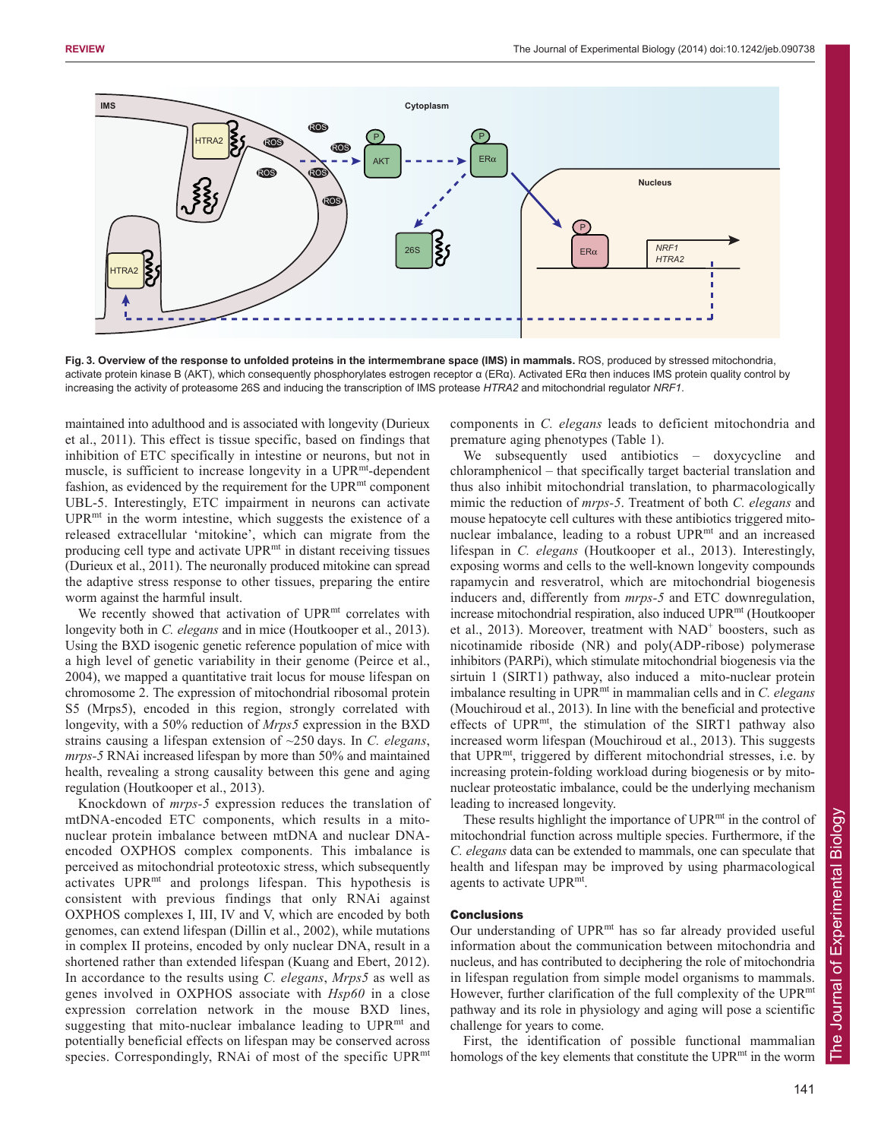

**Fig. 3. Overview of the response to unfolded proteins in the intermembrane space (IMS) in mammals.** ROS, produced by stressed mitochondria, activate protein kinase B (AKT), which consequently phosphorylates estrogen receptor α (ERα). Activated ERα then induces IMS protein quality control by increasing the activity of proteasome 26S and inducing the transcription of IMS protease *HTRA2* and mitochondrial regulator *NRF1*.

maintained into adulthood and is associated with longevity (Durieux et al., 2011). This effect is tissue specific, based on findings that inhibition of ETC specifically in intestine or neurons, but not in muscle, is sufficient to increase longevity in a UPR<sup>mt</sup>-dependent fashion, as evidenced by the requirement for the  $UPR<sup>mt</sup>$  component UBL-5. Interestingly, ETC impairment in neurons can activate  $UPR<sup>mt</sup>$  in the worm intestine, which suggests the existence of a released extracellular 'mitokine', which can migrate from the producing cell type and activate  $UPR<sup>mt</sup>$  in distant receiving tissues (Durieux et al., 2011). The neuronally produced mitokine can spread the adaptive stress response to other tissues, preparing the entire worm against the harmful insult.

We recently showed that activation of UPR<sup>mt</sup> correlates with longevity both in *C. elegans* and in mice (Houtkooper et al., 2013). Using the BXD isogenic genetic reference population of mice with a high level of genetic variability in their genome (Peirce et al., 2004), we mapped a quantitative trait locus for mouse lifespan on chromosome 2. The expression of mitochondrial ribosomal protein S5 (Mrps5), encoded in this region, strongly correlated with longevity, with a 50% reduction of *Mrps5* expression in the BXD strains causing a lifespan extension of ~250 days. In *C. elegans*, *mrps-5* RNAi increased lifespan by more than 50% and maintained health, revealing a strong causality between this gene and aging regulation (Houtkooper et al., 2013).

Knockdown of *mrps-5* expression reduces the translation of mtDNA-encoded ETC components, which results in a mitonuclear protein imbalance between mtDNA and nuclear DNAencoded OXPHOS complex components. This imbalance is perceived as mitochondrial proteotoxic stress, which subsequently activates UPRmt and prolongs lifespan. This hypothesis is consistent with previous findings that only RNAi against OXPHOS complexes I, III, IV and V, which are encoded by both genomes, can extend lifespan (Dillin et al., 2002), while mutations in complex II proteins, encoded by only nuclear DNA, result in a shortened rather than extended lifespan (Kuang and Ebert, 2012). In accordance to the results using *C. elegans*, *Mrps5* as well as genes involved in OXPHOS associate with *Hsp60* in a close expression correlation network in the mouse BXD lines, suggesting that mito-nuclear imbalance leading to  $UPR<sup>mt</sup>$  and potentially beneficial effects on lifespan may be conserved across species. Correspondingly, RNAi of most of the specific UPR<sup>mt</sup>

components in *C. elegans* leads to deficient mitochondria and premature aging phenotypes (Table 1).

We subsequently used antibiotics – doxycycline and chloramphenicol – that specifically target bacterial translation and thus also inhibit mitochondrial translation, to pharmacologically mimic the reduction of *mrps-5*. Treatment of both *C. elegans* and mouse hepatocyte cell cultures with these antibiotics triggered mitonuclear imbalance, leading to a robust UPR<sup>mt</sup> and an increased lifespan in *C. elegans* (Houtkooper et al., 2013). Interestingly, exposing worms and cells to the well-known longevity compounds rapamycin and resveratrol, which are mitochondrial biogenesis inducers and, differently from *mrps-5* and ETC downregulation, increase mitochondrial respiration, also induced UPRmt (Houtkooper et al., 2013). Moreover, treatment with NAD<sup>+</sup> boosters, such as nicotinamide riboside (NR) and poly(ADP-ribose) polymerase inhibitors (PARPi), which stimulate mitochondrial biogenesis via the sirtuin 1 (SIRT1) pathway, also induced a mito-nuclear protein imbalance resulting in UPRmt in mammalian cells and in *C. elegans* (Mouchiroud et al., 2013). In line with the beneficial and protective effects of UPR $m<sub>1</sub>$ , the stimulation of the SIRT1 pathway also increased worm lifespan (Mouchiroud et al., 2013). This suggests that UPRmt, triggered by different mitochondrial stresses, i.e. by increasing protein-folding workload during biogenesis or by mitonuclear proteostatic imbalance, could be the underlying mechanism leading to increased longevity.

These results highlight the importance of UPR<sup>mt</sup> in the control of mitochondrial function across multiple species. Furthermore, if the *C. elegans* data can be extended to mammals, one can speculate that health and lifespan may be improved by using pharmacological agents to activate UPR<sup>mt</sup>.

#### **Conclusions**

Our understanding of  $UPR<sup>mt</sup>$  has so far already provided useful information about the communication between mitochondria and nucleus, and has contributed to deciphering the role of mitochondria in lifespan regulation from simple model organisms to mammals. However, further clarification of the full complexity of the UPR<sup>mt</sup> pathway and its role in physiology and aging will pose a scientific challenge for years to come.

First, the identification of possible functional mammalian homologs of the key elements that constitute the UPR<sup>mt</sup> in the worm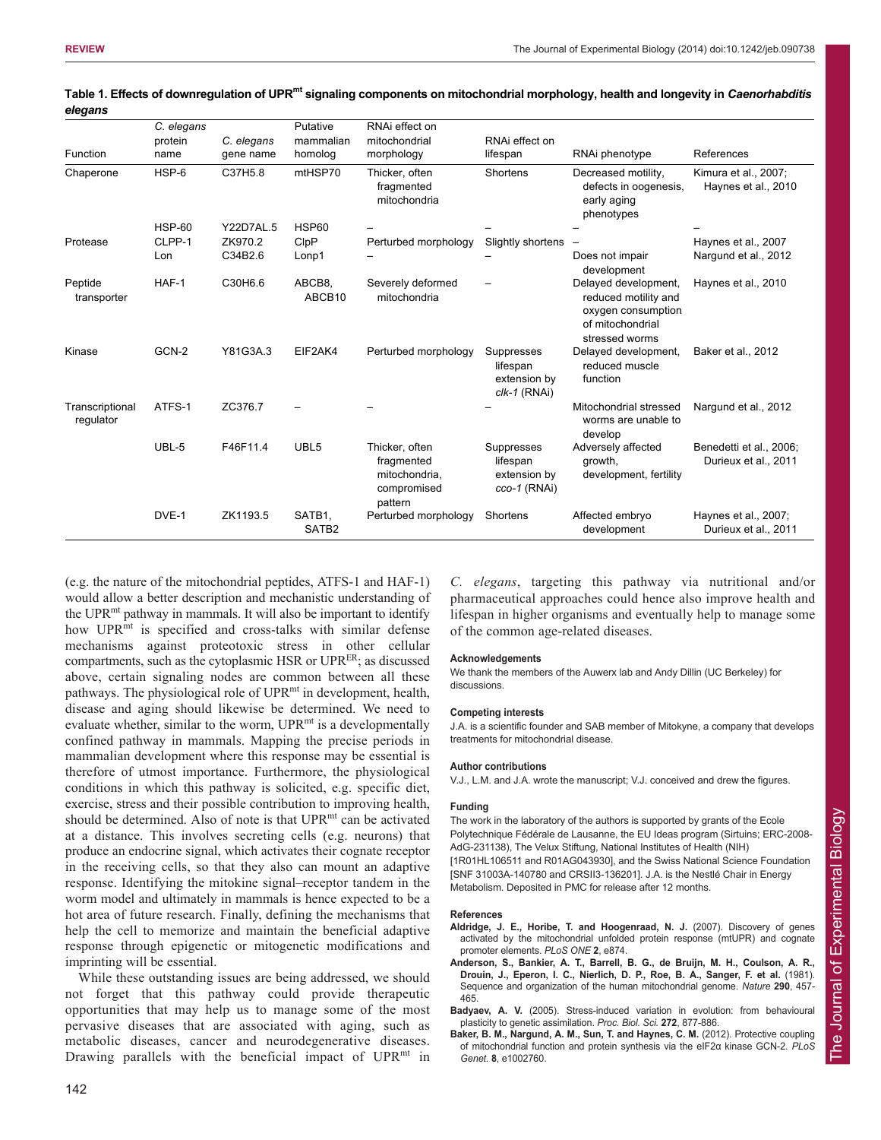|                              | C. elegans<br>protein | C. elegans | Putative<br>mammalian | RNAi effect on<br>mitochondrial                                         | RNAi effect on                                         |                                                                                                          |                                                 |
|------------------------------|-----------------------|------------|-----------------------|-------------------------------------------------------------------------|--------------------------------------------------------|----------------------------------------------------------------------------------------------------------|-------------------------------------------------|
| Function                     | name                  | gene name  | homolog               | morphology                                                              | lifespan                                               | RNAi phenotype                                                                                           | References                                      |
| Chaperone                    | HSP-6                 | C37H5.8    | mtHSP70               | Thicker, often<br>fragmented<br>mitochondria                            | Shortens                                               | Decreased motility,<br>defects in oogenesis.<br>early aging<br>phenotypes                                | Kimura et al., 2007;<br>Haynes et al., 2010     |
|                              | <b>HSP-60</b>         | Y22D7AL.5  | HSP60                 |                                                                         |                                                        |                                                                                                          |                                                 |
| Protease                     | CLPP-1                | ZK970.2    | ClpP                  | Perturbed morphology                                                    | Slightly shortens                                      |                                                                                                          | Haynes et al., 2007                             |
|                              | Lon                   | C34B2.6    | Lonp1                 |                                                                         |                                                        | Does not impair<br>development                                                                           | Nargund et al., 2012                            |
| Peptide<br>transporter       | HAF-1                 | C30H6.6    | ABCB8,<br>ABCB10      | Severely deformed<br>mitochondria                                       |                                                        | Delayed development,<br>reduced motility and<br>oxygen consumption<br>of mitochondrial<br>stressed worms | Haynes et al., 2010                             |
| Kinase                       | GCN-2                 | Y81G3A.3   | EIF2AK4               | Perturbed morphology                                                    | Suppresses<br>lifespan<br>extension by<br>clk-1 (RNAi) | Delayed development,<br>reduced muscle<br>function                                                       | Baker et al., 2012                              |
| Transcriptional<br>regulator | ATFS-1                | ZC376.7    |                       |                                                                         |                                                        | Mitochondrial stressed<br>worms are unable to<br>develop                                                 | Nargund et al., 2012                            |
|                              | UBL-5                 | F46F11.4   | UBL <sub>5</sub>      | Thicker, often<br>fragmented<br>mitochondria,<br>compromised<br>pattern | Suppresses<br>lifespan<br>extension by<br>cco-1 (RNAi) | Adversely affected<br>growth.<br>development, fertility                                                  | Benedetti et al., 2006;<br>Durieux et al., 2011 |
|                              | DVE-1                 | ZK1193.5   | SATB1,<br>SATB2       | Perturbed morphology                                                    | Shortens                                               | Affected embryo<br>development                                                                           | Haynes et al., 2007;<br>Durieux et al., 2011    |

#### Table 1. Effects of downregulation of UPR<sup>mt</sup> signaling components on mitochondrial morphology, health and longevity in *Caenorhabditis elegans*

(e.g. the nature of the mitochondrial peptides, ATFS-1 and HAF-1) would allow a better description and mechanistic understanding of the UPR<sup>mt</sup> pathway in mammals. It will also be important to identify how UPR<sup>mt</sup> is specified and cross-talks with similar defense mechanisms against proteotoxic stress in other cellular compartments, such as the cytoplasmic HSR or UPRER; as discussed above, certain signaling nodes are common between all these pathways. The physiological role of UPR<sup>mt</sup> in development, health, disease and aging should likewise be determined. We need to evaluate whether, similar to the worm,  $UPR<sup>mt</sup>$  is a developmentally confined pathway in mammals. Mapping the precise periods in mammalian development where this response may be essential is therefore of utmost importance. Furthermore, the physiological conditions in which this pathway is solicited, e.g. specific diet, exercise, stress and their possible contribution to improving health, should be determined. Also of note is that UPR<sup>mt</sup> can be activated at a distance. This involves secreting cells (e.g. neurons) that produce an endocrine signal, which activates their cognate receptor in the receiving cells, so that they also can mount an adaptive response. Identifying the mitokine signal–receptor tandem in the worm model and ultimately in mammals is hence expected to be a hot area of future research. Finally, defining the mechanisms that help the cell to memorize and maintain the beneficial adaptive response through epigenetic or mitogenetic modifications and imprinting will be essential.

While these outstanding issues are being addressed, we should not forget that this pathway could provide therapeutic opportunities that may help us to manage some of the most pervasive diseases that are associated with aging, such as metabolic diseases, cancer and neurodegenerative diseases. Drawing parallels with the beneficial impact of  $UPR<sup>mt</sup>$  in *C. elegans*, targeting this pathway via nutritional and/or pharmaceutical approaches could hence also improve health and lifespan in higher organisms and eventually help to manage some of the common age-related diseases.

## **Acknowledgements**

We thank the members of the Auwerx lab and Andy Dillin (UC Berkeley) for discussions.

#### **Competing interests**

J.A. is a scientific founder and SAB member of Mitokyne, a company that develops treatments for mitochondrial disease.

## **Author contributions**

V.J., L.M. and J.A. wrote the manuscript; V.J. conceived and drew the figures.

#### **Funding**

The work in the laboratory of the authors is supported by grants of the Ecole Polytechnique Fédérale de Lausanne, the EU Ideas program (Sirtuins; ERC-2008- AdG-231138), The Velux Stiftung, National Institutes of Health (NIH) [1R01HL106511 and R01AG043930], and the Swiss National Science Foundation [SNF 31003A-140780 and CRSII3-136201]. J.A. is the Nestlé Chair in Energy Metabolism. Deposited in PMC for release after 12 months.

#### **References**

- **Aldridge, J. E., Horibe, T. and Hoogenraad, N. J.** (2007). Discovery of genes activated by the mitochondrial unfolded protein response (mtUPR) and cognate promoter elements. *PLoS ONE* **2**, e874.
- **Anderson, S., Bankier, A. T., Barrell, B. G., de Bruijn, M. H., Coulson, A. R., Drouin, J., Eperon, I. C., Nierlich, D. P., Roe, B. A., Sanger, F. et al.** (1981). Sequence and organization of the human mitochondrial genome. *Nature* **290**, 457- 465.
- **Badyaev, A. V.** (2005). Stress-induced variation in evolution: from behavioural plasticity to genetic assimilation. *Proc. Biol. Sci.* **272**, 877-886.
- **Baker, B. M., Nargund, A. M., Sun, T. and Haynes, C. M.** (2012). Protective coupling of mitochondrial function and protein synthesis via the eIF2α kinase GCN-2. *PLoS Genet.* **8**, e1002760.